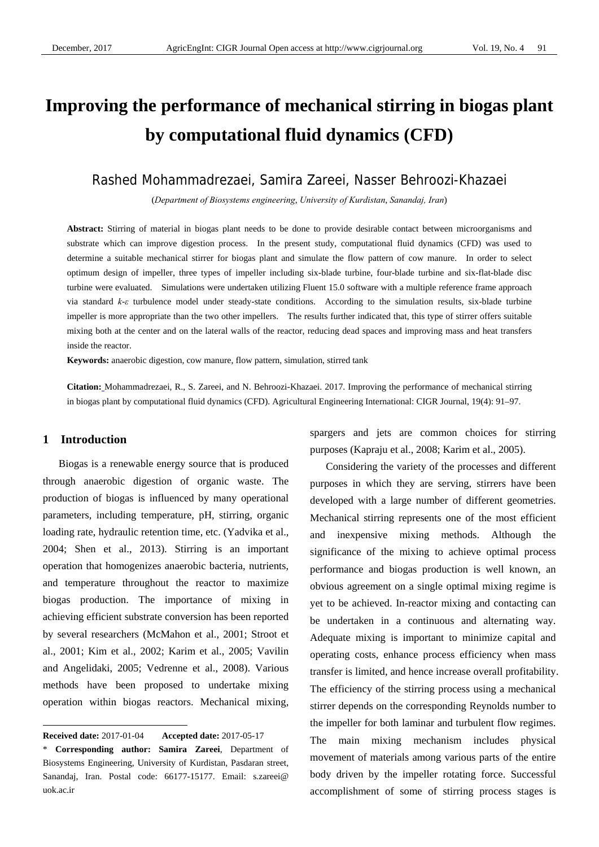# **Improving the performance of mechanical stirring in biogas plant by computational fluid dynamics (CFD)**

# Rashed Mohammadrezaei, Samira Zareei, Nasser Behroozi-Khazaei

(*Department of Biosystems engineering*, *University of Kurdistan*, *Sanandaj, Iran*)

**Abstract:** Stirring of material in biogas plant needs to be done to provide desirable contact between microorganisms and substrate which can improve digestion process. In the present study, computational fluid dynamics (CFD) was used to determine a suitable mechanical stirrer for biogas plant and simulate the flow pattern of cow manure. In order to select optimum design of impeller, three types of impeller including six-blade turbine, four-blade turbine and six-flat-blade disc turbine were evaluated. Simulations were undertaken utilizing Fluent 15.0 software with a multiple reference frame approach via standard *k*-*ε* turbulence model under steady-state conditions. According to the simulation results, six-blade turbine impeller is more appropriate than the two other impellers. The results further indicated that, this type of stirrer offers suitable mixing both at the center and on the lateral walls of the reactor, reducing dead spaces and improving mass and heat transfers inside the reactor.

**Keywords:** anaerobic digestion, cow manure, flow pattern, simulation, stirred tank

**Citation:** Mohammadrezaei, R., S. Zareei, and N. Behroozi-Khazaei. 2017. Improving the performance of mechanical stirring in biogas plant by computational fluid dynamics (CFD). Agricultural Engineering International: CIGR Journal, 19(4): 91–97.

## **1 Introduction**

 $\overline{a}$ 

Biogas is a renewable energy source that is produced through anaerobic digestion of organic waste. The production of biogas is influenced by many operational parameters, including temperature, pH, stirring, organic loading rate, hydraulic retention time, etc. (Yadvika et al., 2004; Shen et al., 2013). Stirring is an important operation that homogenizes anaerobic bacteria, nutrients, and temperature throughout the reactor to maximize biogas production. The importance of mixing in achieving efficient substrate conversion has been reported by several researchers (McMahon et al., 2001; Stroot et al., 2001; Kim et al., 2002; Karim et al., 2005; Vavilin and Angelidaki, 2005; Vedrenne et al., 2008). Various methods have been proposed to undertake mixing operation within biogas reactors. Mechanical mixing,

spargers and jets are common choices for stirring purposes (Kapraju et al., 2008; Karim et al., 2005).

Considering the variety of the processes and different purposes in which they are serving, stirrers have been developed with a large number of different geometries. Mechanical stirring represents one of the most efficient and inexpensive mixing methods. Although the significance of the mixing to achieve optimal process performance and biogas production is well known, an obvious agreement on a single optimal mixing regime is yet to be achieved. In-reactor mixing and contacting can be undertaken in a continuous and alternating way. Adequate mixing is important to minimize capital and operating costs, enhance process efficiency when mass transfer is limited, and hence increase overall profitability. The efficiency of the stirring process using a mechanical stirrer depends on the corresponding Reynolds number to the impeller for both laminar and turbulent flow regimes. The main mixing mechanism includes physical movement of materials among various parts of the entire body driven by the impeller rotating force. Successful accomplishment of some of stirring process stages is

**Received date:** 2017-01-04 **Accepted date:** 2017-05-17

<sup>\*</sup> **Corresponding author: Samira Zareei**, Department of Biosystems Engineering, University of Kurdistan, Pasdaran street, Sanandaj, Iran. Postal code: 66177-15177. Email: s.zareei@ uok.ac.ir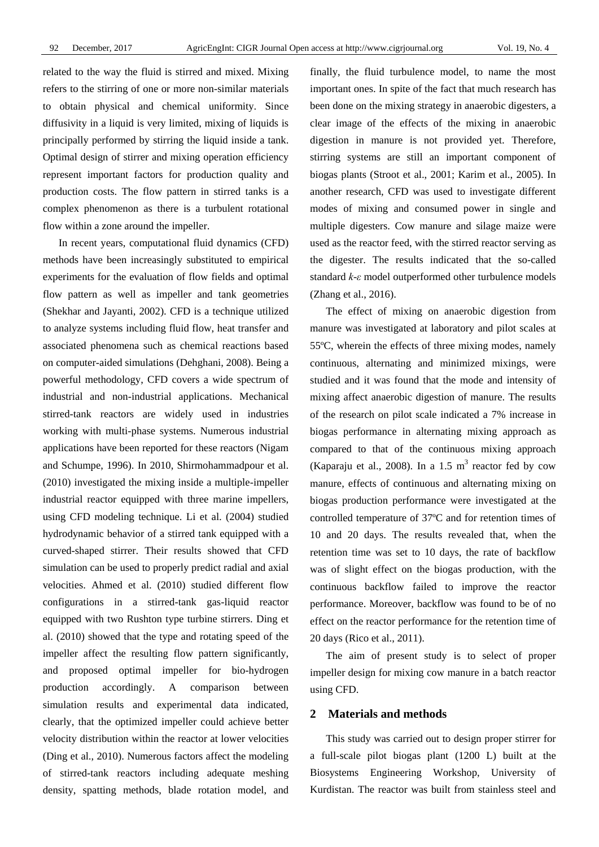related to the way the fluid is stirred and mixed. Mixing refers to the stirring of one or more non-similar materials to obtain physical and chemical uniformity. Since diffusivity in a liquid is very limited, mixing of liquids is principally performed by stirring the liquid inside a tank. Optimal design of stirrer and mixing operation efficiency represent important factors for production quality and production costs. The flow pattern in stirred tanks is a complex phenomenon as there is a turbulent rotational flow within a zone around the impeller.

In recent years, computational fluid dynamics (CFD) methods have been increasingly substituted to empirical experiments for the evaluation of flow fields and optimal flow pattern as well as impeller and tank geometries (Shekhar and Jayanti, 2002). CFD is a technique utilized to analyze systems including fluid flow, heat transfer and associated phenomena such as chemical reactions based on computer-aided simulations (Dehghani, 2008). Being a powerful methodology, CFD covers a wide spectrum of industrial and non-industrial applications. Mechanical stirred-tank reactors are widely used in industries working with multi-phase systems. Numerous industrial applications have been reported for these reactors (Nigam and Schumpe, 1996). In 2010, Shirmohammadpour et al. (2010) investigated the mixing inside a multiple-impeller industrial reactor equipped with three marine impellers, using CFD modeling technique. Li et al. (2004) studied hydrodynamic behavior of a stirred tank equipped with a curved-shaped stirrer. Their results showed that CFD simulation can be used to properly predict radial and axial velocities. Ahmed et al. (2010) studied different flow configurations in a stirred-tank gas-liquid reactor equipped with two Rushton type turbine stirrers. Ding et al. (2010) showed that the type and rotating speed of the impeller affect the resulting flow pattern significantly, and proposed optimal impeller for bio-hydrogen production accordingly. A comparison between simulation results and experimental data indicated, clearly, that the optimized impeller could achieve better velocity distribution within the reactor at lower velocities (Ding et al., 2010). Numerous factors affect the modeling of stirred-tank reactors including adequate meshing density, spatting methods, blade rotation model, and

finally, the fluid turbulence model, to name the most important ones. In spite of the fact that much research has been done on the mixing strategy in anaerobic digesters, a clear image of the effects of the mixing in anaerobic digestion in manure is not provided yet. Therefore, stirring systems are still an important component of biogas plants (Stroot et al., 2001; Karim et al., 2005). In another research, CFD was used to investigate different modes of mixing and consumed power in single and multiple digesters. Cow manure and silage maize were used as the reactor feed, with the stirred reactor serving as the digester. The results indicated that the so-called standard *k*-*ε* model outperformed other turbulence models (Zhang et al., 2016).

The effect of mixing on anaerobic digestion from manure was investigated at laboratory and pilot scales at 55ºC, wherein the effects of three mixing modes, namely continuous, alternating and minimized mixings, were studied and it was found that the mode and intensity of mixing affect anaerobic digestion of manure. The results of the research on pilot scale indicated a 7% increase in biogas performance in alternating mixing approach as compared to that of the continuous mixing approach (Kaparaju et al., 2008). In a 1.5  $m<sup>3</sup>$  reactor fed by cow manure, effects of continuous and alternating mixing on biogas production performance were investigated at the controlled temperature of 37ºC and for retention times of 10 and 20 days. The results revealed that, when the retention time was set to 10 days, the rate of backflow was of slight effect on the biogas production, with the continuous backflow failed to improve the reactor performance. Moreover, backflow was found to be of no effect on the reactor performance for the retention time of 20 days (Rico et al., 2011).

The aim of present study is to select of proper impeller design for mixing cow manure in a batch reactor using CFD.

#### **2 Materials and methods**

This study was carried out to design proper stirrer for a full-scale pilot biogas plant (1200 L) built at the Biosystems Engineering Workshop, University of Kurdistan. The reactor was built from stainless steel and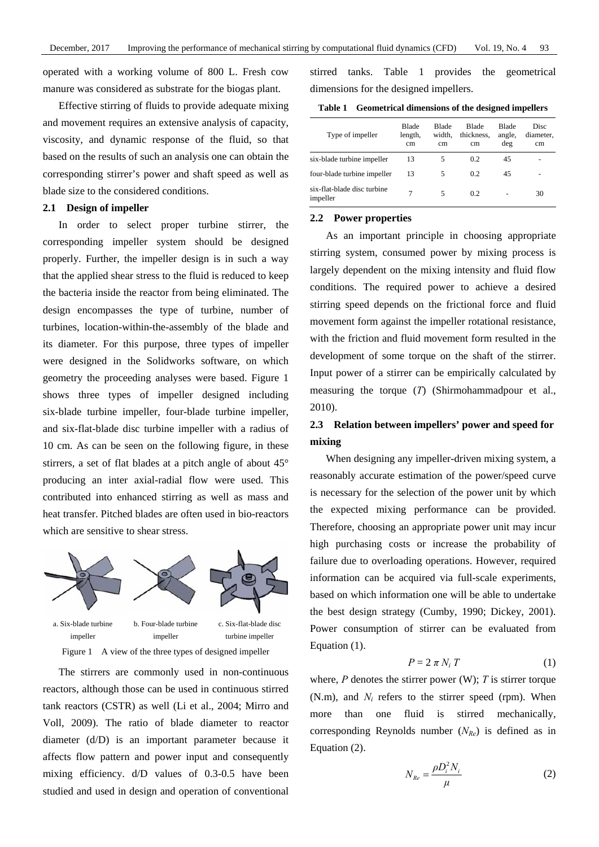operated with a working volume of 800 L. Fresh cow manure was considered as substrate for the biogas plant.

Effective stirring of fluids to provide adequate mixing and movement requires an extensive analysis of capacity, viscosity, and dynamic response of the fluid, so that based on the results of such an analysis one can obtain the corresponding stirrer's power and shaft speed as well as blade size to the considered conditions.

## **2.1 Design of impeller**

In order to select proper turbine stirrer, the corresponding impeller system should be designed properly. Further, the impeller design is in such a way that the applied shear stress to the fluid is reduced to keep the bacteria inside the reactor from being eliminated. The design encompasses the type of turbine, number of turbines, location-within-the-assembly of the blade and its diameter. For this purpose, three types of impeller were designed in the Solidworks software, on which geometry the proceeding analyses were based. Figure 1 shows three types of impeller designed including six-blade turbine impeller, four-blade turbine impeller, and six-flat-blade disc turbine impeller with a radius of 10 cm. As can be seen on the following figure, in these stirrers, a set of flat blades at a pitch angle of about 45° producing an inter axial-radial flow were used. This contributed into enhanced stirring as well as mass and heat transfer. Pitched blades are often used in bio-reactors which are sensitive to shear stress.





turbine impeller

Figure 1 A view of the three types of designed impeller

The stirrers are commonly used in non-continuous reactors, although those can be used in continuous stirred tank reactors (CSTR) as well (Li et al., 2004; Mirro and Voll, 2009). The ratio of blade diameter to reactor diameter (d/D) is an important parameter because it affects flow pattern and power input and consequently mixing efficiency. d/D values of 0.3-0.5 have been studied and used in design and operation of conventional

stirred tanks. Table 1 provides the geometrical dimensions for the designed impellers.

**Table 1 Geometrical dimensions of the designed impellers**

| Type of impeller                        | Blade<br>length,<br>cm | <b>Blade</b><br>width.<br>cm | <b>Blade</b><br>thickness.<br>cm | Blade<br>angle,<br>deg | Disc<br>diameter.<br>cm |
|-----------------------------------------|------------------------|------------------------------|----------------------------------|------------------------|-------------------------|
| six-blade turbine impeller              | 13                     | 5                            | 0.2                              | 45                     |                         |
| four-blade turbine impeller             | 13                     | 5                            | 0.2                              | 45                     |                         |
| six-flat-blade disc turbine<br>impeller |                        | 5                            | 0.2                              |                        | 30                      |

#### **2.2 Power properties**

As an important principle in choosing appropriate stirring system, consumed power by mixing process is largely dependent on the mixing intensity and fluid flow conditions. The required power to achieve a desired stirring speed depends on the frictional force and fluid movement form against the impeller rotational resistance, with the friction and fluid movement form resulted in the development of some torque on the shaft of the stirrer. Input power of a stirrer can be empirically calculated by measuring the torque (*T*) (Shirmohammadpour et al., 2010).

# **2.3 Relation between impellers' power and speed for mixing**

When designing any impeller-driven mixing system, a reasonably accurate estimation of the power/speed curve is necessary for the selection of the power unit by which the expected mixing performance can be provided. Therefore, choosing an appropriate power unit may incur high purchasing costs or increase the probability of failure due to overloading operations. However, required information can be acquired via full-scale experiments, based on which information one will be able to undertake the best design strategy (Cumby, 1990; Dickey, 2001). Power consumption of stirrer can be evaluated from Equation (1).

$$
P = 2 \pi N_i T \tag{1}
$$

where,  $P$  denotes the stirrer power (W);  $T$  is stirrer torque  $(N.m)$ , and  $N_i$  refers to the stirrer speed (rpm). When more than one fluid is stirred mechanically, corresponding Reynolds number (*NRe*) is defined as in Equation (2).

$$
N_{Re} = \frac{\rho D_i^2 N_i}{\mu} \tag{2}
$$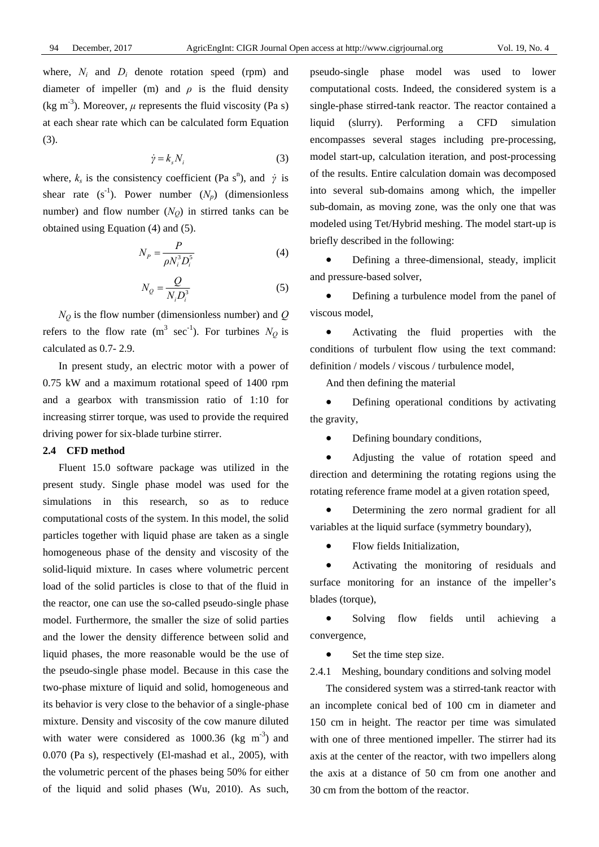where,  $N_i$  and  $D_i$  denote rotation speed (rpm) and diameter of impeller (m) and  $\rho$  is the fluid density (kg m<sup>-3</sup>). Moreover,  $\mu$  represents the fluid viscosity (Pa s) at each shear rate which can be calculated form Equation (3).

$$
\dot{\gamma} = k_s N_i \tag{3}
$$

where,  $k_s$  is the consistency coefficient (Pa s<sup>n</sup>), and *γ* is shear rate  $(s^{-1})$ . Power number  $(N_p)$  (dimensionless number) and flow number  $(N<sub>O</sub>)$  in stirred tanks can be obtained using Equation (4) and (5).

$$
N_P = \frac{P}{\rho N_i^3 D_i^5} \tag{4}
$$

$$
N_Q = \frac{Q}{N_i D_i^3} \tag{5}
$$

 $N_Q$  is the flow number (dimensionless number) and  $Q$ refers to the flow rate  $(m^3 \text{ sec}^{-1})$ . For turbines  $N_Q$  is calculated as 0.7- 2.9.

In present study, an electric motor with a power of 0.75 kW and a maximum rotational speed of 1400 rpm and a gearbox with transmission ratio of 1:10 for increasing stirrer torque, was used to provide the required driving power for six-blade turbine stirrer.

## **2.4 CFD method**

Fluent 15.0 software package was utilized in the present study. Single phase model was used for the simulations in this research, so as to reduce computational costs of the system. In this model, the solid particles together with liquid phase are taken as a single homogeneous phase of the density and viscosity of the solid-liquid mixture. In cases where volumetric percent load of the solid particles is close to that of the fluid in the reactor, one can use the so-called pseudo-single phase model. Furthermore, the smaller the size of solid parties and the lower the density difference between solid and liquid phases, the more reasonable would be the use of the pseudo-single phase model. Because in this case the two-phase mixture of liquid and solid, homogeneous and its behavior is very close to the behavior of a single-phase mixture. Density and viscosity of the cow manure diluted with water were considered as  $1000.36$  (kg m<sup>-3</sup>) and 0.070 (Pa s), respectively (El-mashad et al., 2005), with the volumetric percent of the phases being 50% for either of the liquid and solid phases (Wu, 2010). As such, pseudo-single phase model was used to lower computational costs. Indeed, the considered system is a single-phase stirred-tank reactor. The reactor contained a liquid (slurry). Performing a CFD simulation encompasses several stages including pre-processing, model start-up, calculation iteration, and post-processing of the results. Entire calculation domain was decomposed into several sub-domains among which, the impeller sub-domain, as moving zone, was the only one that was modeled using Tet/Hybrid meshing. The model start-up is briefly described in the following:

• Defining a three-dimensional, steady, implicit and pressure-based solver,

• Defining a turbulence model from the panel of viscous model,

• Activating the fluid properties with the conditions of turbulent flow using the text command: definition / models / viscous / turbulence model,

And then defining the material

• Defining operational conditions by activating the gravity,

• Defining boundary conditions,

• Adjusting the value of rotation speed and direction and determining the rotating regions using the rotating reference frame model at a given rotation speed,

• Determining the zero normal gradient for all variables at the liquid surface (symmetry boundary),

• Flow fields Initialization,

• Activating the monitoring of residuals and surface monitoring for an instance of the impeller's blades (torque),

• Solving flow fields until achieving a convergence,

Set the time step size.

2.4.1 Meshing, boundary conditions and solving model

The considered system was a stirred-tank reactor with an incomplete conical bed of 100 cm in diameter and 150 cm in height. The reactor per time was simulated with one of three mentioned impeller. The stirrer had its axis at the center of the reactor, with two impellers along the axis at a distance of 50 cm from one another and 30 cm from the bottom of the reactor.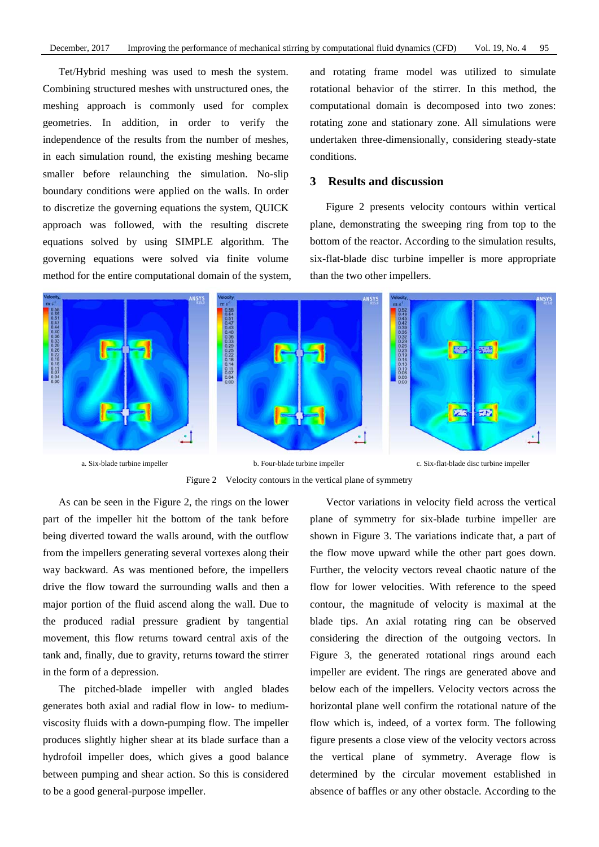Tet/Hybrid meshing was used to mesh the system. Combining structured meshes with unstructured ones, the meshing approach is commonly used for complex geometries. In addition, in order to verify the independence of the results from the number of meshes, in each simulation round, the existing meshing became smaller before relaunching the simulation. No-slip boundary conditions were applied on the walls. In order to discretize the governing equations the system, QUICK approach was followed, with the resulting discrete equations solved by using SIMPLE algorithm. The governing equations were solved via finite volume method for the entire computational domain of the system, and rotating frame model was utilized to simulate rotational behavior of the stirrer. In this method, the computational domain is decomposed into two zones: rotating zone and stationary zone. All simulations were undertaken three-dimensionally, considering steady-state conditions.

## **3 Results and discussion**

Figure 2 presents velocity contours within vertical plane, demonstrating the sweeping ring from top to the bottom of the reactor. According to the simulation results, six-flat-blade disc turbine impeller is more appropriate than the two other impellers.



a. Six-blade turbine impeller b. Four-blade turbine impeller c. Six-flat-blade disc turbine impeller Figure 2 Velocity contours in the vertical plane of symmetry

As can be seen in the Figure 2, the rings on the lower

part of the impeller hit the bottom of the tank before being diverted toward the walls around, with the outflow from the impellers generating several vortexes along their way backward. As was mentioned before, the impellers drive the flow toward the surrounding walls and then a major portion of the fluid ascend along the wall. Due to the produced radial pressure gradient by tangential movement, this flow returns toward central axis of the tank and, finally, due to gravity, returns toward the stirrer in the form of a depression.

The pitched-blade impeller with angled blades generates both axial and radial flow in low- to mediumviscosity fluids with a down-pumping flow. The impeller produces slightly higher shear at its blade surface than a hydrofoil impeller does, which gives a good balance between pumping and shear action. So this is considered to be a good general-purpose impeller.

Vector variations in velocity field across the vertical plane of symmetry for six-blade turbine impeller are shown in Figure 3. The variations indicate that, a part of the flow move upward while the other part goes down. Further, the velocity vectors reveal chaotic nature of the flow for lower velocities. With reference to the speed contour, the magnitude of velocity is maximal at the blade tips. An axial rotating ring can be observed considering the direction of the outgoing vectors. In Figure 3, the generated rotational rings around each impeller are evident. The rings are generated above and below each of the impellers. Velocity vectors across the horizontal plane well confirm the rotational nature of the flow which is, indeed, of a vortex form. The following figure presents a close view of the velocity vectors across the vertical plane of symmetry. Average flow is determined by the circular movement established in absence of baffles or any other obstacle. According to the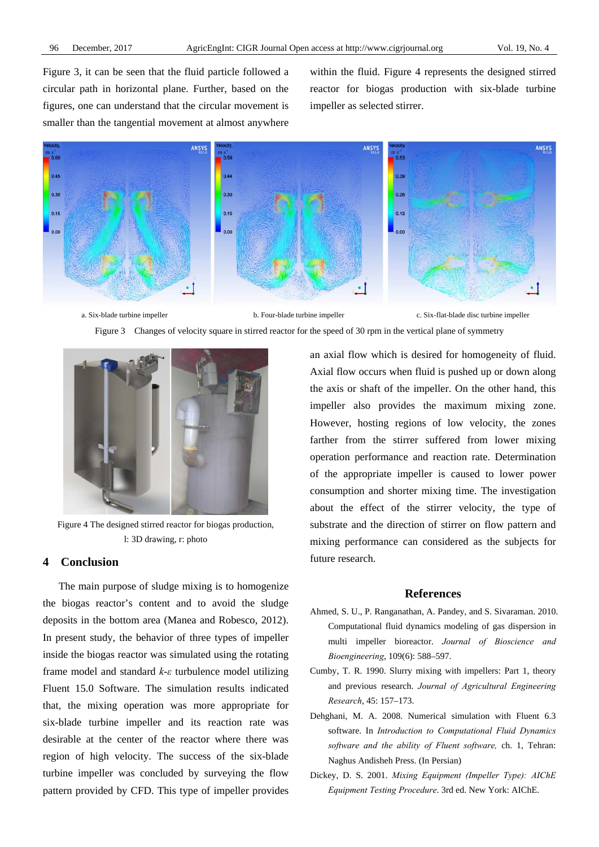Figure 3, it can be seen that the fluid particle followed a circular path in horizontal plane. Further, based on the figures, one can understand that the circular movement is smaller than the tangential movement at almost anywhere within the fluid. Figure 4 represents the designed stirred reactor for biogas production with six-blade turbine impeller as selected stirrer.







Figure 4 The designed stirred reactor for biogas production, l: 3D drawing, r: photo

## **4 Conclusion**

The main purpose of sludge mixing is to homogenize the biogas reactor's content and to avoid the sludge deposits in the bottom area (Manea and Robesco, 2012). In present study, the behavior of three types of impeller inside the biogas reactor was simulated using the rotating frame model and standard *k*-*ε* turbulence model utilizing Fluent 15.0 Software. The simulation results indicated that, the mixing operation was more appropriate for six-blade turbine impeller and its reaction rate was desirable at the center of the reactor where there was region of high velocity. The success of the six-blade turbine impeller was concluded by surveying the flow pattern provided by CFD. This type of impeller provides an axial flow which is desired for homogeneity of fluid. Axial flow occurs when fluid is pushed up or down along the axis or shaft of the impeller. On the other hand, this impeller also provides the maximum mixing zone. However, hosting regions of low velocity, the zones farther from the stirrer suffered from lower mixing operation performance and reaction rate. Determination of the appropriate impeller is caused to lower power consumption and shorter mixing time. The investigation about the effect of the stirrer velocity, the type of substrate and the direction of stirrer on flow pattern and mixing performance can considered as the subjects for future research.

## **References**

- Ahmed, S. U., P. Ranganathan, A. Pandey, and S. Sivaraman. 2010. Computational fluid dynamics modeling of gas dispersion in multi impeller bioreactor. *Journal of Bioscience and Bioengineering*, 109(6): 588–597.
- Cumby, T. R. 1990. Slurry mixing with impellers: Part 1, theory and previous research. *Journal of Agricultural Engineering Research*, 45: 157–173.
- Dehghani, M. A. 2008. Numerical simulation with Fluent 6.3 software. In *Introduction to Computational Fluid Dynamics software and the ability of Fluent software,* ch. 1, Tehran: Naghus Andisheh Press. (In Persian)
- Dickey, D. S. 2001. *Mixing Equipment (Impeller Type): AIChE Equipment Testing Procedure*. 3rd ed. New York: AIChE.